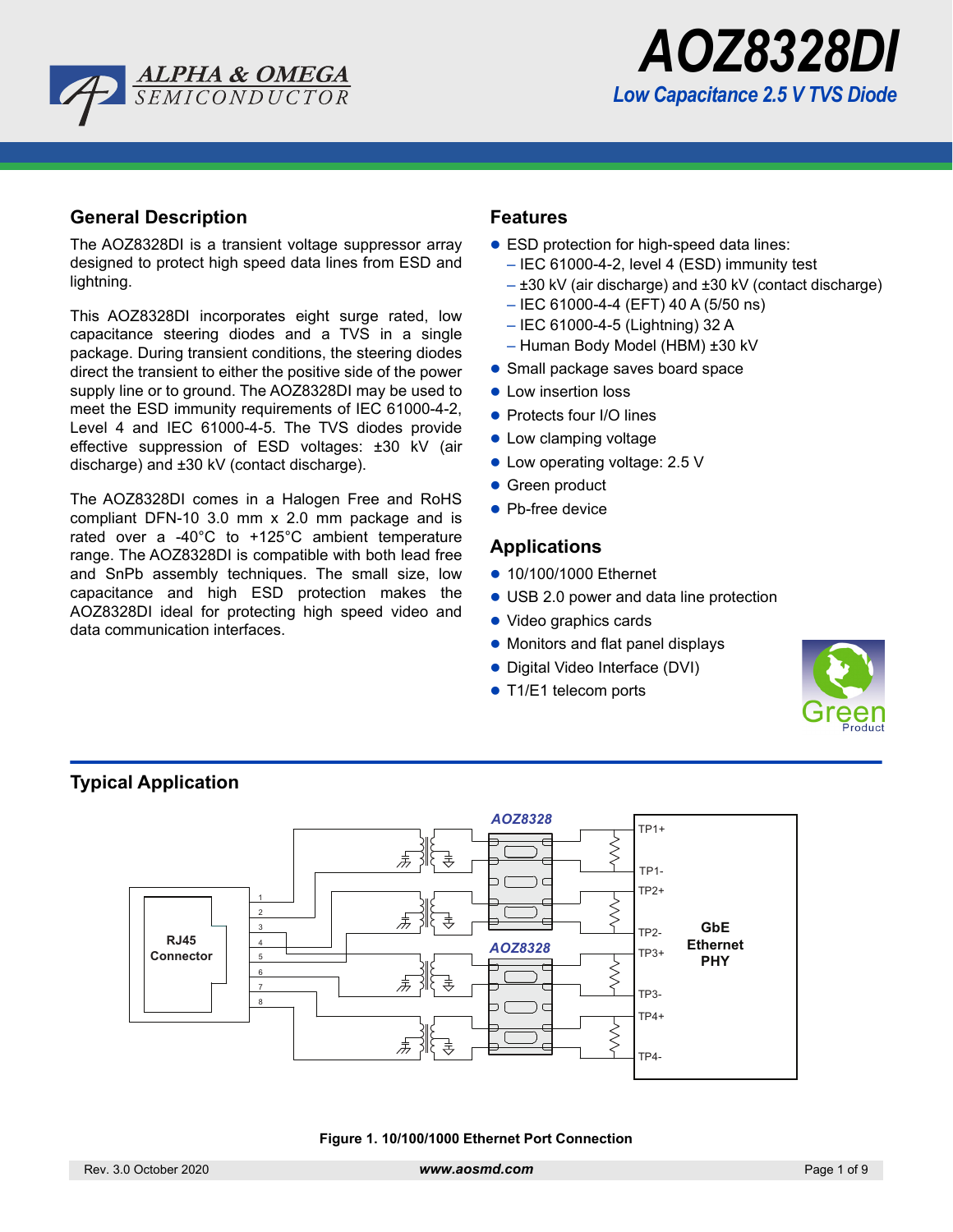



## **General Description**

The AOZ8328DI is a transient voltage suppressor array designed to protect high speed data lines from ESD and lightning.

This AOZ8328DI incorporates eight surge rated, low capacitance steering diodes and a TVS in a single package. During transient conditions, the steering diodes direct the transient to either the positive side of the power supply line or to ground. The AOZ8328DI may be used to meet the ESD immunity requirements of IEC 61000-4-2, Level 4 and IEC 61000-4-5. The TVS diodes provide effective suppression of ESD voltages: ±30 kV (air discharge) and ±30 kV (contact discharge).

The AOZ8328DI comes in a Halogen Free and RoHS compliant DFN-10 3.0 mm x 2.0 mm package and is rated over a -40°C to +125°C ambient temperature range. The AOZ8328DI is compatible with both lead free and SnPb assembly techniques. The small size, low capacitance and high ESD protection makes the AOZ8328DI ideal for protecting high speed video and data communication interfaces.

## **Features**

- ESD protection for high-speed data lines:
	- IEC 61000-4-2, level 4 (ESD) immunity test
	- ±30 kV (air discharge) and ±30 kV (contact discharge)
	- IEC 61000-4-4 (EFT) 40 A (5/50 ns)
	- IEC 61000-4-5 (Lightning) 32 A
	- Human Body Model (HBM) ±30 kV
- Small package saves board space
- **Low insertion loss**
- Protects four I/O lines
- Low clamping voltage
- Low operating voltage: 2.5 V
- Green product
- Pb-free device

## **Applications**

- 10/100/1000 Ethernet
- USB 2.0 power and data line protection
- Video graphics cards
- Monitors and flat panel displays
- Digital Video Interface (DVI)
- T1/E1 telecom ports





#### **Figure 1. 10/100/1000 Ethernet Port Connection**

**Typical Application**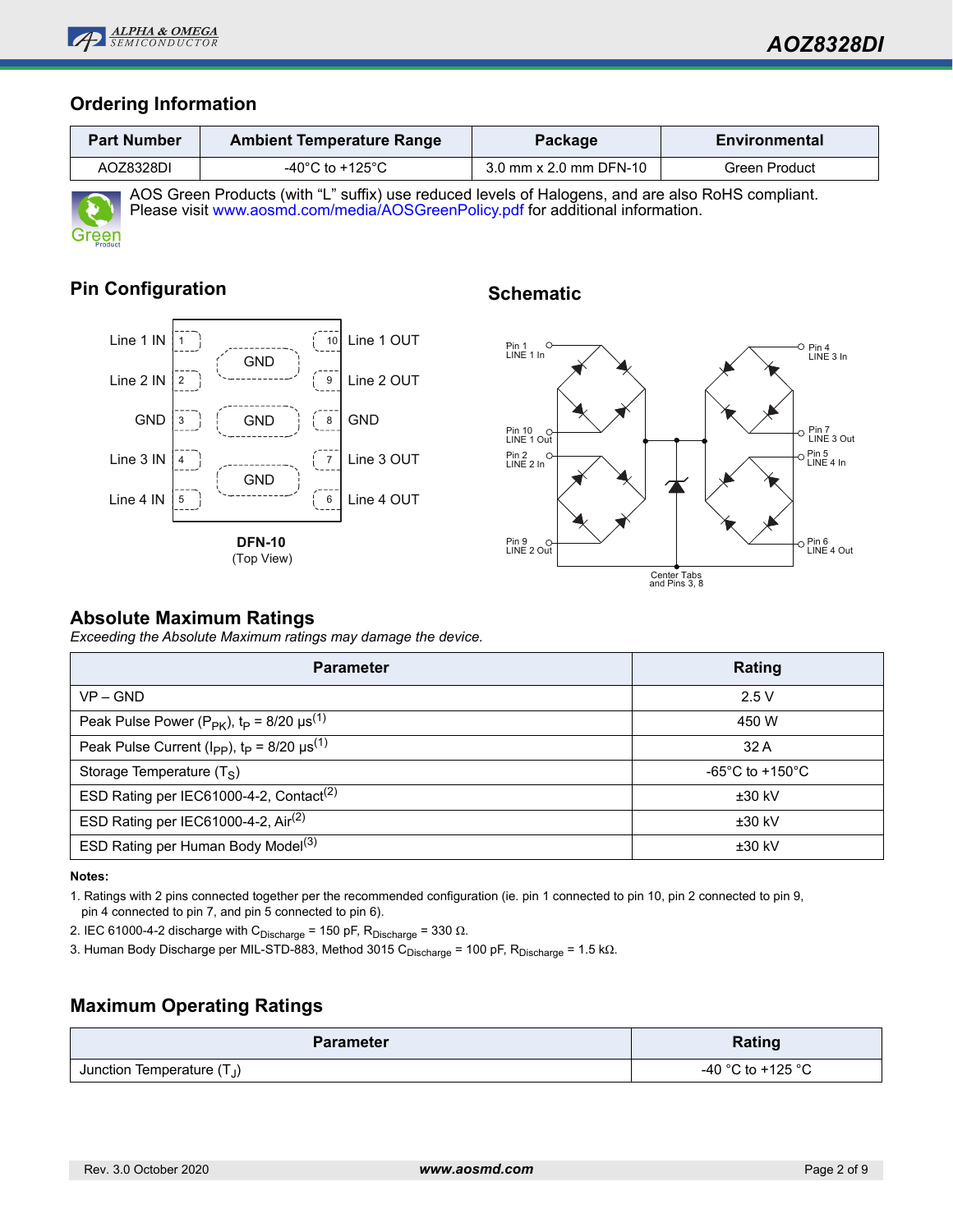

## **Ordering Information**

| <b>Part Number</b>                                                                                    | <b>Ambient Temperature Range</b> | Package                | <b>Environmental</b> |  |  |  |  |
|-------------------------------------------------------------------------------------------------------|----------------------------------|------------------------|----------------------|--|--|--|--|
| AOZ8328DI                                                                                             | -40°C to +125°C                  | 3.0 mm x 2.0 mm DFN-10 | Green Product        |  |  |  |  |
| AOC Orean Dreducts (with "I " sufficial use reduced layels of Helemana, and are also Del IC compliant |                                  |                        |                      |  |  |  |  |



AOS Green Products (with "L" suffix) use reduced levels of Halogens, and are also RoHS compliant. Please visit www.aosmd.com/media/AOSGreenPolicy.pdf for additional information.

# **Pin Configuration**



# **Schematic**



## **Absolute Maximum Ratings**

*Exceeding the Absolute Maximum ratings may damage the device.*

| <b>Parameter</b>                                                               | Rating                                |
|--------------------------------------------------------------------------------|---------------------------------------|
| $VP - GND$                                                                     | 2.5V                                  |
| Peak Pulse Power ( $P_{PK}$ ), $t_P = 8/20 \mu s^{(1)}$                        | 450 W                                 |
| Peak Pulse Current ( $I_{\rm PP}$ ), $t_{\rm P}$ = 8/20 $\mu$ s <sup>(1)</sup> | 32A                                   |
| Storage Temperature $(T_S)$                                                    | -65 $^{\circ}$ C to +150 $^{\circ}$ C |
| ESD Rating per IEC61000-4-2, Contact <sup>(2)</sup>                            | $±30$ kV                              |
| ESD Rating per IEC61000-4-2, Air <sup>(2)</sup>                                | $±30$ kV                              |
| ESD Rating per Human Body Model <sup>(3)</sup>                                 | $±30$ kV                              |

**Notes:**

1. Ratings with 2 pins connected together per the recommended configuration (ie. pin 1 connected to pin 10, pin 2 connected to pin 9, pin 4 connected to pin 7, and pin 5 connected to pin 6).

2. IEC 61000-4-2 discharge with C<sub>Discharge</sub> = 150 pF, R<sub>Discharge</sub> = 330 Ω.

3. Human Body Discharge per MIL-STD-883, Method 3015 C<sub>Discharge</sub> = 100 pF, R<sub>Discharge</sub> = 1.5 kΩ.

# **Maximum Operating Ratings**

| <b>Parameter</b>             | Rating            |  |  |  |
|------------------------------|-------------------|--|--|--|
| Junction Temperature $(T_J)$ | -40 °C to +125 °C |  |  |  |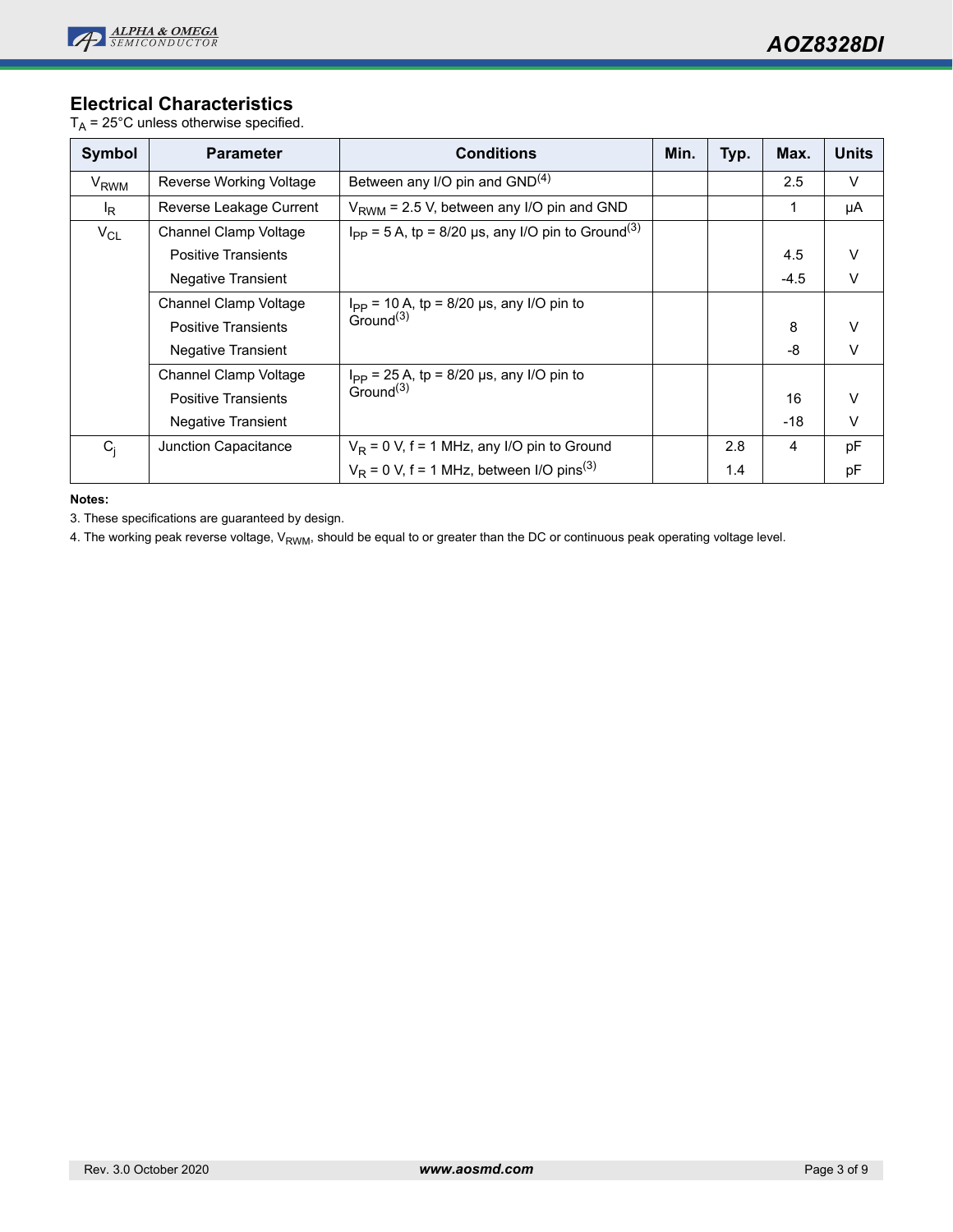

## **Electrical Characteristics**

 $T_A = 25^\circ \text{C}$  unless otherwise specified.

| <b>Symbol</b>    | <b>Parameter</b>             | <b>Conditions</b>                                                  | Min. | Typ. | Max.   | <b>Units</b> |
|------------------|------------------------------|--------------------------------------------------------------------|------|------|--------|--------------|
| V <sub>RWM</sub> | Reverse Working Voltage      | Between any I/O pin and $GND(4)$                                   |      |      | 2.5    | $\vee$       |
| $I_{\mathsf{R}}$ | Reverse Leakage Current      | $V_{RWM}$ = 2.5 V, between any I/O pin and GND                     |      |      | 1      | μA           |
| $V_{CL}$         | Channel Clamp Voltage        | $I_{PP}$ = 5 A, tp = 8/20 µs, any I/O pin to Ground <sup>(3)</sup> |      |      |        |              |
|                  | <b>Positive Transients</b>   |                                                                    |      |      | 4.5    | V            |
|                  | Negative Transient           |                                                                    |      |      | $-4.5$ | $\vee$       |
|                  | <b>Channel Clamp Voltage</b> | $I_{\text{PP}}$ = 10 A, tp = 8/20 µs, any I/O pin to               |      |      |        |              |
|                  | <b>Positive Transients</b>   | Ground <sup>(3)</sup>                                              |      |      | 8      | V            |
|                  | <b>Negative Transient</b>    |                                                                    |      |      | -8     | $\vee$       |
|                  | Channel Clamp Voltage        | $I_{\text{PP}}$ = 25 A, tp = 8/20 µs, any I/O pin to               |      |      |        |              |
|                  | <b>Positive Transients</b>   | Ground $^{(3)}$                                                    |      |      | 16     | $\vee$       |
|                  | <b>Negative Transient</b>    |                                                                    |      |      | $-18$  | $\vee$       |
| $C_i$            | Junction Capacitance         | $V_R$ = 0 V, f = 1 MHz, any I/O pin to Ground                      |      | 2.8  | 4      | pF           |
|                  |                              | $V_R$ = 0 V, f = 1 MHz, between I/O pins <sup>(3)</sup>            |      | 1.4  |        | рF           |

**Notes:**

3. These specifications are guaranteed by design.

4. The working peak reverse voltage, V<sub>RWM</sub>, should be equal to or greater than the DC or continuous peak operating voltage level.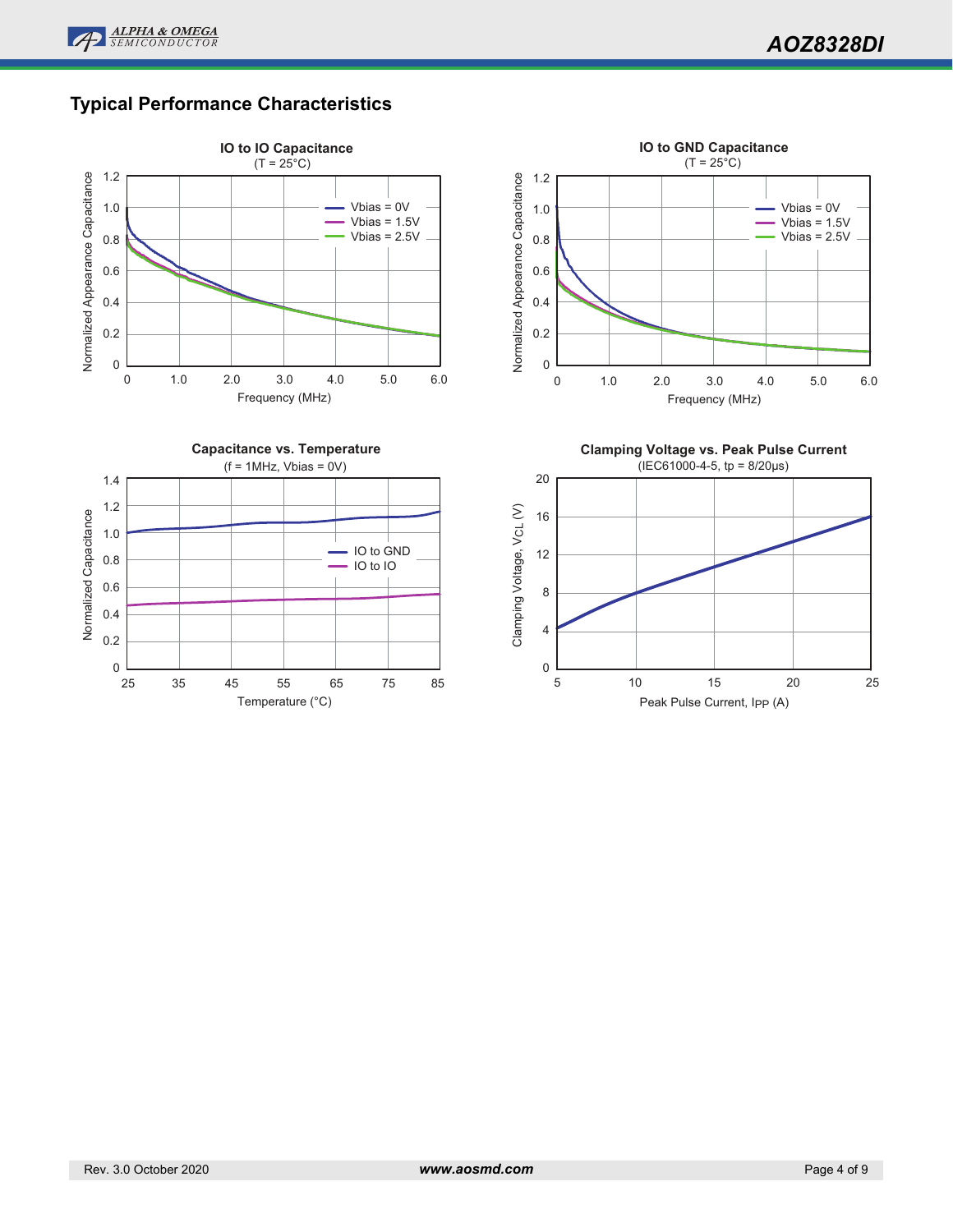

# **Typical Performance Characteristics**

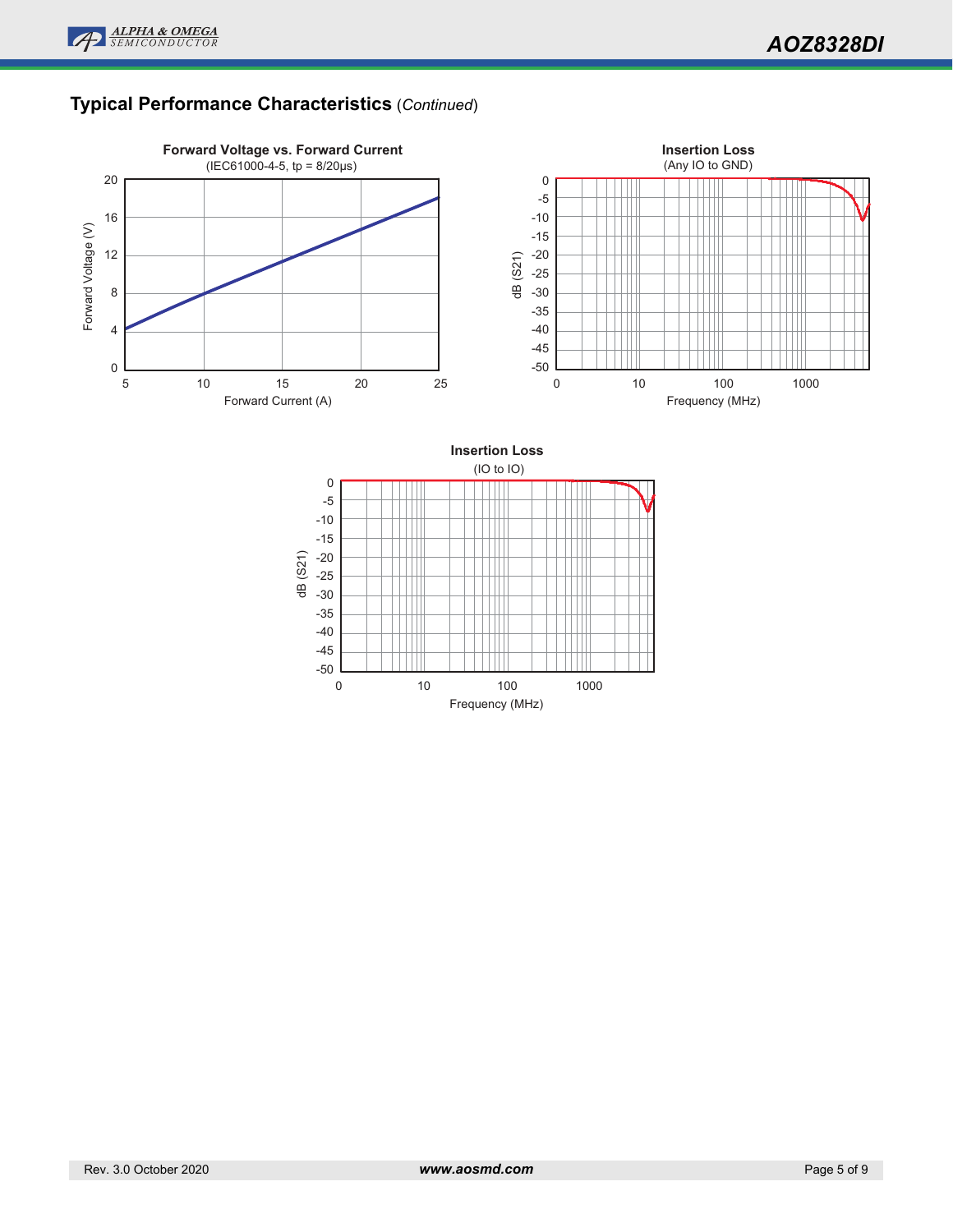

# **Typical Performance Characteristics** (*Continued*)



Frequency (MHz)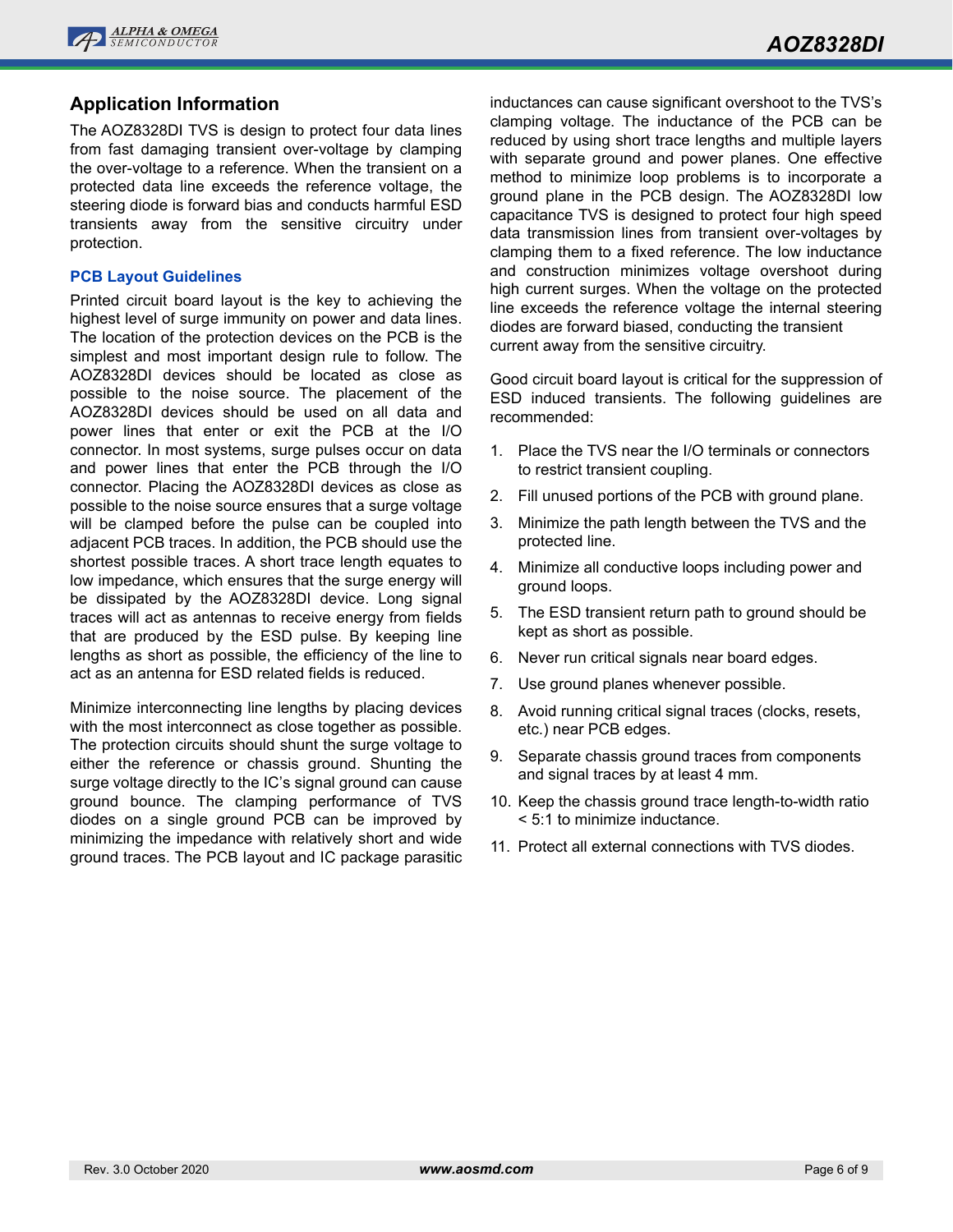

### **Application Information**

The AOZ8328DI TVS is design to protect four data lines from fast damaging transient over-voltage by clamping the over-voltage to a reference. When the transient on a protected data line exceeds the reference voltage, the steering diode is forward bias and conducts harmful ESD transients away from the sensitive circuitry under protection.

#### **PCB Layout Guidelines**

Printed circuit board layout is the key to achieving the highest level of surge immunity on power and data lines. The location of the protection devices on the PCB is the simplest and most important design rule to follow. The AOZ8328DI devices should be located as close as possible to the noise source. The placement of the AOZ8328DI devices should be used on all data and power lines that enter or exit the PCB at the I/O connector. In most systems, surge pulses occur on data and power lines that enter the PCB through the I/O connector. Placing the AOZ8328DI devices as close as possible to the noise source ensures that a surge voltage will be clamped before the pulse can be coupled into adjacent PCB traces. In addition, the PCB should use the shortest possible traces. A short trace length equates to low impedance, which ensures that the surge energy will be dissipated by the AOZ8328DI device. Long signal traces will act as antennas to receive energy from fields that are produced by the ESD pulse. By keeping line lengths as short as possible, the efficiency of the line to act as an antenna for ESD related fields is reduced.

Minimize interconnecting line lengths by placing devices with the most interconnect as close together as possible. The protection circuits should shunt the surge voltage to either the reference or chassis ground. Shunting the surge voltage directly to the IC's signal ground can cause ground bounce. The clamping performance of TVS diodes on a single ground PCB can be improved by minimizing the impedance with relatively short and wide ground traces. The PCB layout and IC package parasitic inductances can cause significant overshoot to the TVS's clamping voltage. The inductance of the PCB can be reduced by using short trace lengths and multiple layers with separate ground and power planes. One effective method to minimize loop problems is to incorporate a ground plane in the PCB design. The AOZ8328DI low capacitance TVS is designed to protect four high speed data transmission lines from transient over-voltages by clamping them to a fixed reference. The low inductance and construction minimizes voltage overshoot during high current surges. When the voltage on the protected line exceeds the reference voltage the internal steering diodes are forward biased, conducting the transient current away from the sensitive circuitry.

Good circuit board layout is critical for the suppression of ESD induced transients. The following guidelines are recommended:

- 1. Place the TVS near the I/O terminals or connectors to restrict transient coupling.
- 2. Fill unused portions of the PCB with ground plane.
- 3. Minimize the path length between the TVS and the protected line.
- 4. Minimize all conductive loops including power and ground loops.
- 5. The ESD transient return path to ground should be kept as short as possible.
- 6. Never run critical signals near board edges.
- 7. Use ground planes whenever possible.
- 8. Avoid running critical signal traces (clocks, resets, etc.) near PCB edges.
- 9. Separate chassis ground traces from components and signal traces by at least 4 mm.
- 10. Keep the chassis ground trace length-to-width ratio < 5:1 to minimize inductance.
- 11. Protect all external connections with TVS diodes.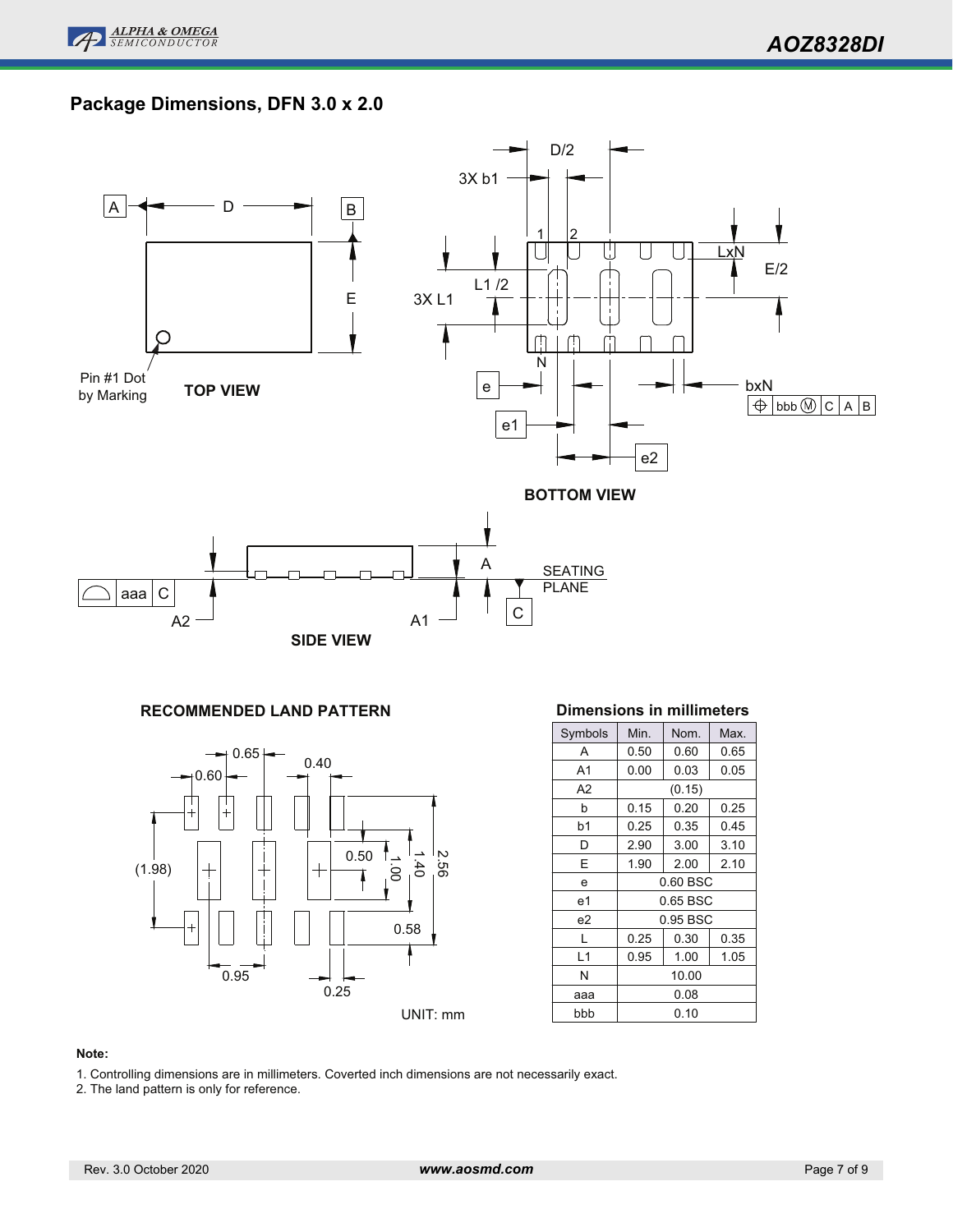

# **Package Dimensions, DFN 3.0 x 2.0**



### **RECOMMENDED LAND PATTERN**



#### **Dimensions in millimeters**

| Symbols        | Min.                 | Nom.         | Max. |  |  |
|----------------|----------------------|--------------|------|--|--|
| Α              | 0.50                 | 0.60         | 0.65 |  |  |
| A <sub>1</sub> | 0.00                 | 0.03         | 0.05 |  |  |
| A2             |                      | (0.15)       |      |  |  |
| h              | 0.15                 | 0.20         | 0.25 |  |  |
| b1             | 0.25                 | 0.35         | 0.45 |  |  |
| D              | 2.90                 | 3.00         | 3.10 |  |  |
| E              | 1.90                 | 2.00         | 2.10 |  |  |
| e              | $0.60$ BSC           |              |      |  |  |
| e1             | 0.65 BSC             |              |      |  |  |
| e2             | 0.95 BSC             |              |      |  |  |
| L              | 0.25<br>0.30<br>0.35 |              |      |  |  |
| L1             | 0.95                 | 1.00<br>1.05 |      |  |  |
| N              | 10.00                |              |      |  |  |
| aaa            | 0.08                 |              |      |  |  |
| bbb            | 0.10                 |              |      |  |  |

#### **Note:**

- 1. Controlling dimensions are in millimeters. Coverted inch dimensions are not necessarily exact.
- 2. The land pattern is only for reference.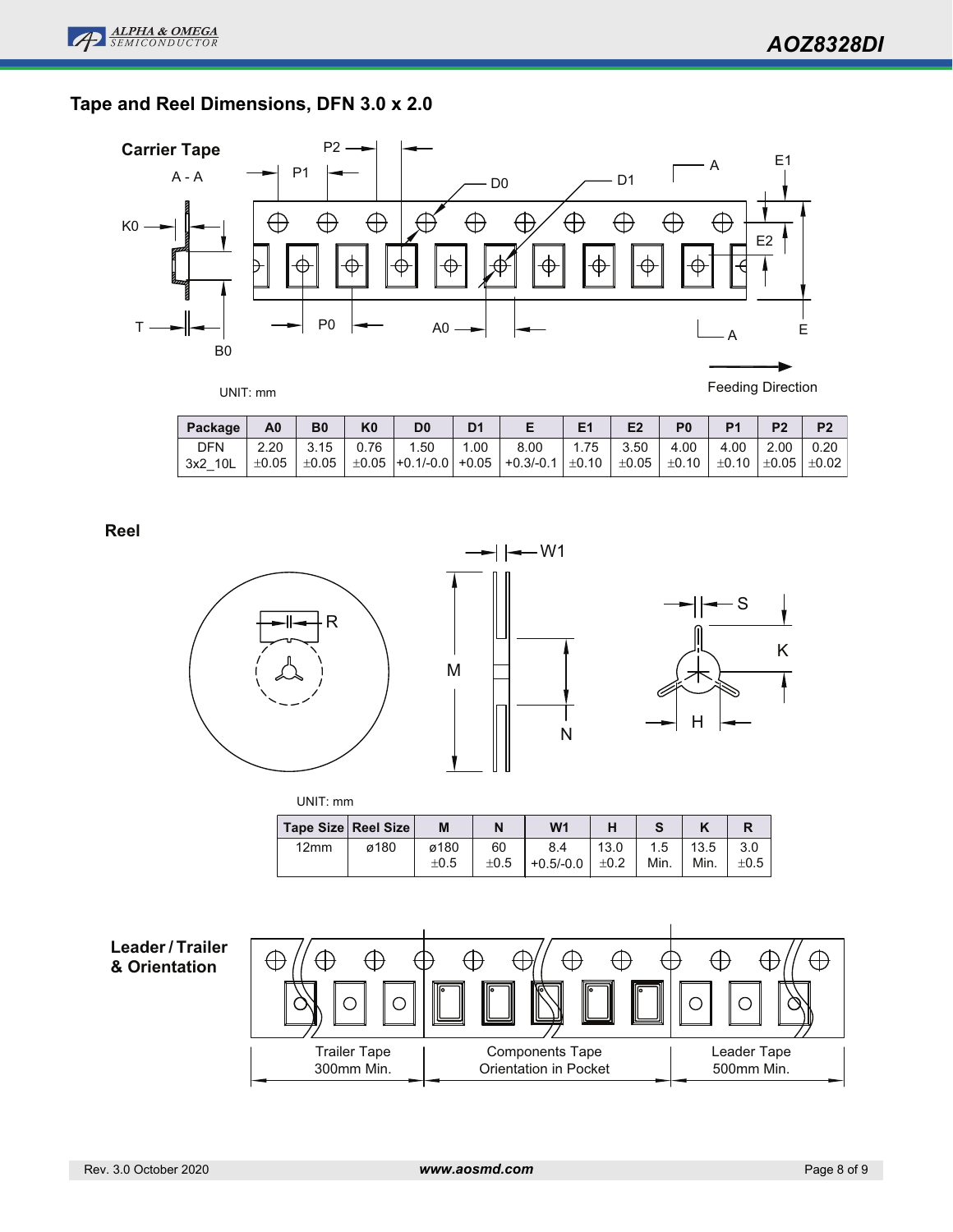# **Tape and Reel Dimensions, DFN 3.0 x 2.0**



Feeding Direction

| Package    | A0    | B <sub>0</sub> | K0   | D0  |      |                                                                                                 |      | E <sub>2</sub> |                               | P <sub>1</sub> |                    | P <sub>2</sub> |
|------------|-------|----------------|------|-----|------|-------------------------------------------------------------------------------------------------|------|----------------|-------------------------------|----------------|--------------------|----------------|
| <b>DFN</b> | 2.20  | 3.15           | 0.76 | .50 | 1.00 | 8.00                                                                                            | 1.75 | 3.50           | 4.00                          | 4.00           | $\vert 2.00 \vert$ | 0.20           |
| 3x2 10L    | ±0.05 | $\pm 0.05$     |      |     |      | $\vert$ $\pm 0.05$ $\vert$ +0.1/-0.0 $\vert$ +0.05 $\vert$ +0.3/-0.1 $\vert$ $\pm$ 0.10 $\vert$ |      | $\pm 0.05$     | │±0.10 │±0.10 │±0.05 │±0.02 │ |                |                    |                |

**Reel**



| -    |                     |           |           |                |           |      |      |           |
|------|---------------------|-----------|-----------|----------------|-----------|------|------|-----------|
|      | Tape Size Reel Size | M         | N         | W <sub>1</sub> |           |      |      |           |
| 12mm | ø180                | ø180      | 60        | 8.4            | 13.0      | 1.5  | 13.5 | 3.0       |
|      |                     | $\pm 0.5$ | $\pm 0.5$ | $+0.5/-0.0$    | $\pm 0.2$ | Min. | Min. | $\pm 0.5$ |